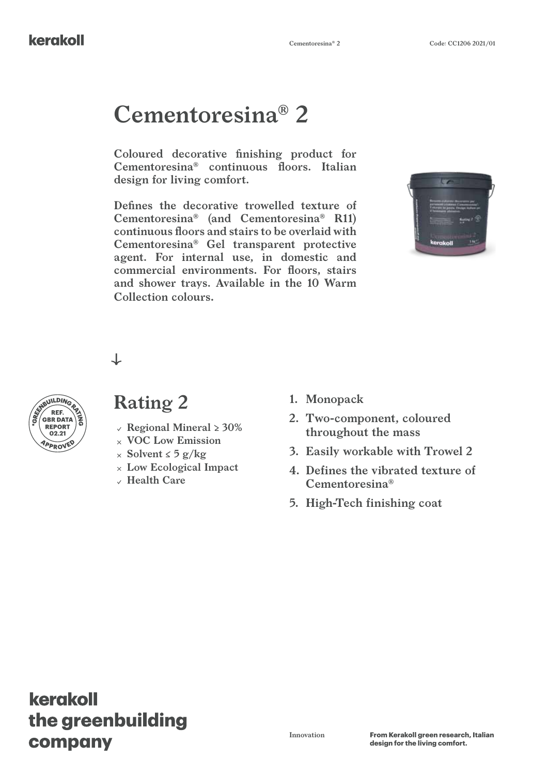#### kerakoll

# **Cementoresina® 2**

**Coloured decorative finishing product for Cementoresina® continuous floors. Italian design for living comfort.**

**Defines the decorative trowelled texture of Cementoresina® (and Cementoresina® R11) continuous floors and stairs to be overlaid with Cementoresina® Gel transparent protective agent. For internal use, in domestic and commercial environments. For floors, stairs and shower trays. Available in the 10 Warm Collection colours.**



↓



### **Rating 2 1. Monopack**

- **REPORT**  $\left( \begin{array}{c} 0 \\ 0 \end{array} \right)$  **Regional Mineral > 30%** 
	- **VOC Low Emission**
	- **Solvent ≤ 5 g/kg**
	- **Low Ecological Impact**
	- **Health Care**
- 
- **2. Two-component, coloured throughout the mass**
- **3. Easily workable with Trowel 2**
- **4. Defines the vibrated texture of Cementoresina®**
- **5. High-Tech finishing coat**

# kerakoll the greenbuilding company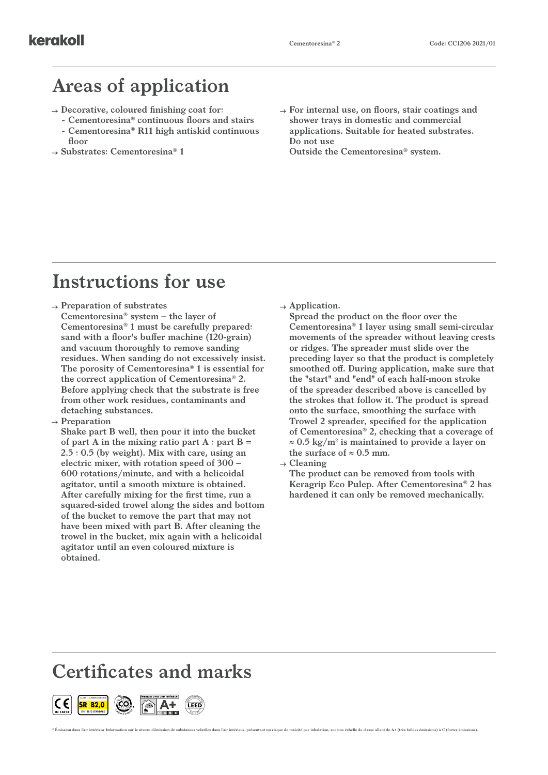### **Areas of application**

- **Decorative, coloured finishing coat for:**
	- **- Cementoresina® continuous floors and stairs - Cementoresina® R11 high antiskid continuous floor**
- **Substrates: Cementoresina® 1**

**For internal use, on floors, stair coatings and shower trays in domestic and commercial applications. Suitable for heated substrates. Do not use Outside the Cementoresina® system.**

## **Instructions for use**

#### **Preparation of substrates**

- **Cementoresina® system the layer of Cementoresina® 1 must be carefully prepared: sand with a floor's buffer machine (120-grain) and vacuum thoroughly to remove sanding residues. When sanding do not excessively insist. The porosity of Cementoresina® 1 is essential for the correct application of Cementoresina® 2. Before applying check that the substrate is free from other work residues, contaminants and detaching substances.**
- **Preparation**

**Shake part B well, then pour it into the bucket of part A in the mixing ratio part A : part B = 2.5 : 0.5 (by weight). Mix with care, using an electric mixer, with rotation speed of 300 – 600 rotations/minute, and with a helicoidal agitator, until a smooth mixture is obtained. After carefully mixing for the first time, run a squared-sided trowel along the sides and bottom of the bucket to remove the part that may not have been mixed with part B. After cleaning the trowel in the bucket, mix again with a helicoidal agitator until an even coloured mixture is obtained.**

**Application.**

**Spread the product on the floor over the Cementoresina® 1 layer using small semi-circular movements of the spreader without leaving crests or ridges. The spreader must slide over the preceding layer so that the product is completely smoothed off. During application, make sure that the "start" and "end" of each half-moon stroke of the spreader described above is cancelled by the strokes that follow it. The product is spread onto the surface, smoothing the surface with Trowel 2 spreader, specified for the application of Cementoresina® 2, checking that a coverage of ≈ 0.5 kg/m2 is maintained to provide a layer on**  the surface of  $\approx 0.5$  mm.

**Cleaning**

\* Émission dans l'air intérieur Information sur le niveau d'émission de substances volatiles dans l'air intérieur, présentant un risque de toxicité par inhalation, sur une échelle de classe allant de A+ (très faibles émiss

**The product can be removed from tools with Keragrip Eco Pulep. After Cementoresina® 2 has hardened it can only be removed mechanically.**

# **Certificates and marks**

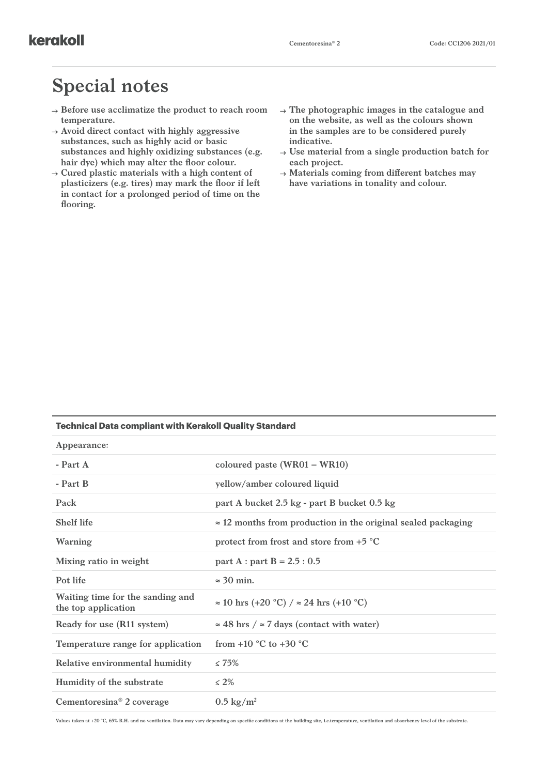### **Special notes**

- **Before use acclimatize the product to reach room temperature.**
- **Avoid direct contact with highly aggressive substances, such as highly acid or basic substances and highly oxidizing substances (e.g. hair dye) which may alter the floor colour.**
- $\rightarrow$  Cured plastic materials with a high content of **plasticizers (e.g. tires) may mark the floor if left in contact for a prolonged period of time on the flooring.**
- **The photographic images in the catalogue and on the website, as well as the colours shown in the samples are to be considered purely indicative.**
- **Use material from a single production batch for each project.**
- **Materials coming from different batches may have variations in tonality and colour.**

#### **Technical Data compliant with Kerakoll Quality Standard**

| Appearance:                                             |                                                                      |
|---------------------------------------------------------|----------------------------------------------------------------------|
| $-$ Part $A$                                            | coloured paste $(WR01 - WR10)$                                       |
| - Part B                                                | yellow/amber coloured liquid                                         |
| Pack                                                    | part A bucket 2.5 kg - part B bucket 0.5 kg                          |
| <b>Shelf life</b>                                       | $\approx$ 12 months from production in the original sealed packaging |
| Warning                                                 | protect from frost and store from $+5$ °C                            |
| Mixing ratio in weight                                  | part A : part B = $2.5:0.5$                                          |
| Pot life                                                | $\approx$ 30 min.                                                    |
| Waiting time for the sanding and<br>the top application | $\approx 10$ hrs (+20 °C) / $\approx 24$ hrs (+10 °C)                |
| Ready for use (R11 system)                              | $\approx$ 48 hrs / $\approx$ 7 days (contact with water)             |
| Temperature range for application                       | from $+10$ °C to $+30$ °C                                            |
| Relative environmental humidity                         | $\leq 75\%$                                                          |
| Humidity of the substrate                               | $\leq 2\%$                                                           |
| Cementoresina <sup>®</sup> 2 coverage                   | $0.5 \text{ kg/m}^2$                                                 |

**Values taken at +20 °C, 65% R.H. and no ventilation. Data may vary depending on specific conditions at the building site, i.e.temperature, ventilation and absorbency level of the substrate.**